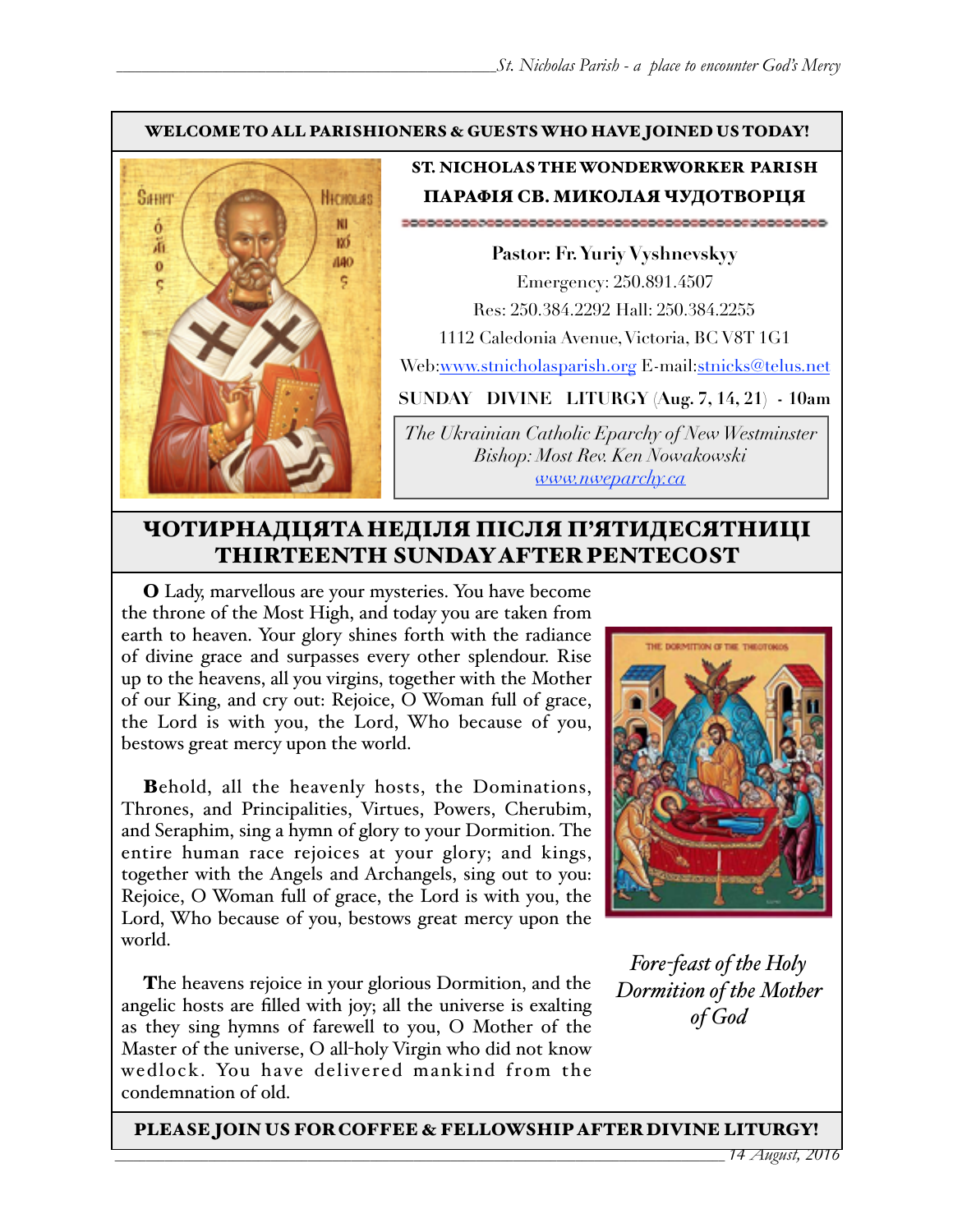#### WELCOME TO ALL PARISHIONERS & GUESTS WHO HAVE JOINED US TODAY!



### ST. NICHOLAS THE WONDERWORKER PARISH ПАРАФІЯ СВ. МИКОЛАЯ ЧУДОТВОРЦЯ

**Pastor: Fr. Yuriy Vyshnevskyy** Emergency: 250.891.4507 Res: 250.384.2292 Hall: 250.384.2255 1112 Caledonia Avenue, Victoria, BC V8T 1G1 Web:[www.stnicholasparish.org](http://www.stnicholasparish.org) E-mail[:stnicks@telus.net](mailto:stnicks@telus.net)

**SUNDAY DIVINE LITURGY (Aug. 7, 14, 21) - 10am**

*The Ukrainian Catholic Eparchy of New Westminster Bishop: Most Rev. Ken Nowakowski [www.nweparchy.ca](http://www.nweparchy.ca)*

# ЧОТИРНАДЦЯТАНЕДІЛЯ ПІСЛЯ П'ЯТИДЕСЯТНИЦІ THIRTEENTH SUNDAY AFTER PENTECOST

O Lady, marvellous are your mysteries. You have become the throne of the Most High, and today you are taken from earth to heaven. Your glory shines forth with the radiance of divine grace and surpasses every other splendour. Rise up to the heavens, all you virgins, together with the Mother of our King, and cry out: Rejoice, O Woman full of grace, the Lord is with you, the Lord, Who because of you, bestows great mercy upon the world.

Behold, all the heavenly hosts, the Dominations, Thrones, and Principalities, Virtues, Powers, Cherubim, and Seraphim, sing a hymn of glory to your Dormition. The entire human race rejoices at your glory; and kings, together with the Angels and Archangels, sing out to you: Rejoice, O Woman full of grace, the Lord is with you, the Lord, Who because of you, bestows great mercy upon the world.

The heavens rejoice in your glorious Dormition, and the angelic hosts are filled with joy; all the universe is exalting as they sing hymns of farewell to you, O Mother of the Master of the universe, O all-holy Virgin who did not know wedlock. You have delivered mankind from the condemnation of old.



*Fore-feast of the Holy Dormition of the Mother of God*

PLEASE JOIN US FOR COFFEE & FELLOWSHIP AFTER DIVINE LITURGY!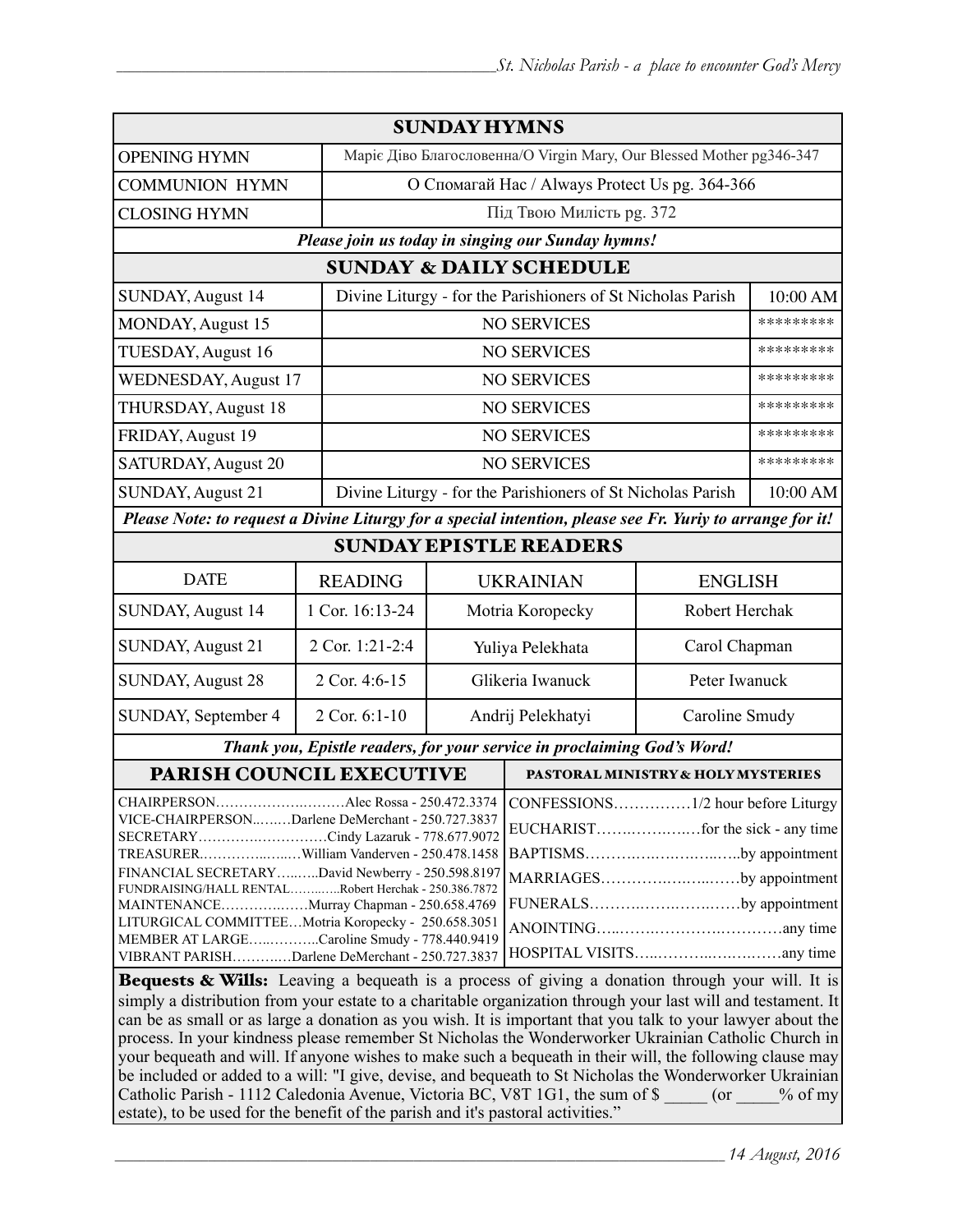| <b>SUNDAY HYMNS</b>                                                                                                                                                                                                                                                                                                                                                                                                                                                                                                                                                                                                                           |                 |                                                                      |                                                             |                                                                             |           |  |
|-----------------------------------------------------------------------------------------------------------------------------------------------------------------------------------------------------------------------------------------------------------------------------------------------------------------------------------------------------------------------------------------------------------------------------------------------------------------------------------------------------------------------------------------------------------------------------------------------------------------------------------------------|-----------------|----------------------------------------------------------------------|-------------------------------------------------------------|-----------------------------------------------------------------------------|-----------|--|
| <b>OPENING HYMN</b>                                                                                                                                                                                                                                                                                                                                                                                                                                                                                                                                                                                                                           |                 | Маріє Діво Благословенна/О Virgin Mary, Our Blessed Mother pg346-347 |                                                             |                                                                             |           |  |
| <b>COMMUNION HYMN</b>                                                                                                                                                                                                                                                                                                                                                                                                                                                                                                                                                                                                                         |                 | О Спомагай Нас / Always Protect Us pg. 364-366                       |                                                             |                                                                             |           |  |
| <b>CLOSING HYMN</b>                                                                                                                                                                                                                                                                                                                                                                                                                                                                                                                                                                                                                           |                 | Під Твою Милість рд. 372                                             |                                                             |                                                                             |           |  |
| Please join us today in singing our Sunday hymns!                                                                                                                                                                                                                                                                                                                                                                                                                                                                                                                                                                                             |                 |                                                                      |                                                             |                                                                             |           |  |
| <b>SUNDAY &amp; DAILY SCHEDULE</b>                                                                                                                                                                                                                                                                                                                                                                                                                                                                                                                                                                                                            |                 |                                                                      |                                                             |                                                                             |           |  |
| <b>SUNDAY, August 14</b>                                                                                                                                                                                                                                                                                                                                                                                                                                                                                                                                                                                                                      |                 |                                                                      | Divine Liturgy - for the Parishioners of St Nicholas Parish |                                                                             | 10:00 AM  |  |
| MONDAY, August 15                                                                                                                                                                                                                                                                                                                                                                                                                                                                                                                                                                                                                             |                 | <b>NO SERVICES</b>                                                   |                                                             |                                                                             | ********* |  |
| TUESDAY, August 16                                                                                                                                                                                                                                                                                                                                                                                                                                                                                                                                                                                                                            |                 |                                                                      | <b>NO SERVICES</b>                                          |                                                                             | ********* |  |
| <b>WEDNESDAY, August 17</b>                                                                                                                                                                                                                                                                                                                                                                                                                                                                                                                                                                                                                   |                 |                                                                      | <b>NO SERVICES</b>                                          |                                                                             | ********* |  |
| THURSDAY, August 18                                                                                                                                                                                                                                                                                                                                                                                                                                                                                                                                                                                                                           |                 | <b>NO SERVICES</b>                                                   |                                                             |                                                                             | ********* |  |
| FRIDAY, August 19                                                                                                                                                                                                                                                                                                                                                                                                                                                                                                                                                                                                                             |                 | <b>NO SERVICES</b>                                                   |                                                             |                                                                             | ********* |  |
| <b>SATURDAY, August 20</b>                                                                                                                                                                                                                                                                                                                                                                                                                                                                                                                                                                                                                    |                 | <b>NO SERVICES</b>                                                   |                                                             |                                                                             | ********* |  |
| <b>SUNDAY, August 21</b>                                                                                                                                                                                                                                                                                                                                                                                                                                                                                                                                                                                                                      |                 | Divine Liturgy - for the Parishioners of St Nicholas Parish          |                                                             |                                                                             | 10:00 AM  |  |
| Please Note: to request a Divine Liturgy for a special intention, please see Fr. Yuriy to arrange for it!                                                                                                                                                                                                                                                                                                                                                                                                                                                                                                                                     |                 |                                                                      |                                                             |                                                                             |           |  |
| <b>SUNDAY EPISTLE READERS</b>                                                                                                                                                                                                                                                                                                                                                                                                                                                                                                                                                                                                                 |                 |                                                                      |                                                             |                                                                             |           |  |
| <b>DATE</b>                                                                                                                                                                                                                                                                                                                                                                                                                                                                                                                                                                                                                                   | <b>READING</b>  | <b>UKRAINIAN</b><br><b>ENGLISH</b>                                   |                                                             |                                                                             |           |  |
| <b>SUNDAY, August 14</b>                                                                                                                                                                                                                                                                                                                                                                                                                                                                                                                                                                                                                      | 1 Cor. 16:13-24 | Robert Herchak<br>Motria Koropecky                                   |                                                             |                                                                             |           |  |
| SUNDAY, August 21                                                                                                                                                                                                                                                                                                                                                                                                                                                                                                                                                                                                                             | 2 Cor. 1:21-2:4 | Yuliya Pelekhata                                                     |                                                             | Carol Chapman                                                               |           |  |
| <b>SUNDAY, August 28</b>                                                                                                                                                                                                                                                                                                                                                                                                                                                                                                                                                                                                                      | 2 Cor. 4:6-15   | Glikeria Iwanuck<br>Peter Iwanuck                                    |                                                             |                                                                             |           |  |
| SUNDAY, September 4                                                                                                                                                                                                                                                                                                                                                                                                                                                                                                                                                                                                                           | 2 Cor. 6:1-10   | Andrij Pelekhatyi<br>Caroline Smudy                                  |                                                             |                                                                             |           |  |
| Thank you, Epistle readers, for your service in proclaiming God's Word!                                                                                                                                                                                                                                                                                                                                                                                                                                                                                                                                                                       |                 |                                                                      |                                                             |                                                                             |           |  |
| PARISH COUNCIL EXECUTIVE                                                                                                                                                                                                                                                                                                                                                                                                                                                                                                                                                                                                                      |                 |                                                                      | PASTORAL MINISTRY & HOLY MYSTERIES                          |                                                                             |           |  |
| Alec Rossa - 250.472.3374   CONFESSIONS1/2 hour before Liturgy<br>CHAIRPERSON<br>VICE-CHAIRPERSONDarlene DeMerchant - 250.727.3837<br>SECRETARYCindy Lazaruk - 778.677.9072<br>TREASURERWilliam Vanderven - 250.478.1458<br>FINANCIAL SECRETARYDavid Newberry - 250.598.8197<br>FUNDRAISING/HALL RENTALRobert Herchak - 250.386.7872<br>MAINTENANCEMurray Chapman - 250.658.4769<br>LITURGICAL COMMITTEEMotria Koropecky - 250.658.3051<br>MEMBER AT LARGECaroline Smudy - 778.440.9419<br>VIBRANT PARISHDarlene DeMerchant - 250.727.3837<br>Bequests & Wills: Leaving a bequeath is a process of giving a donation through your will. It is |                 |                                                                      |                                                             | BAPTISMSby appointment<br>MARRIAGESby appointment<br>FUNERALSby appointment |           |  |
| simply a distribution from your estate to a charitable organization through your last will and testament. It<br>can be as small or as large a donation as you wish. It is important that you talk to your lawyer about the<br>process. In your kindness please remember St Nicholas the Wonderworker Ukrainian Catholic Church in                                                                                                                                                                                                                                                                                                             |                 |                                                                      |                                                             |                                                                             |           |  |

your bequeath and will. If anyone wishes to make such a bequeath in their will, the following clause may be included or added to a will: "I give, devise, and bequeath to St Nicholas the Wonderworker Ukrainian Catholic Parish - 1112 Caledonia Avenue, Victoria BC, V8T 1G1, the sum of \$ \_\_\_\_\_ (or \_\_\_\_% of my estate), to be used for the benefit of the parish and it's pastoral activities."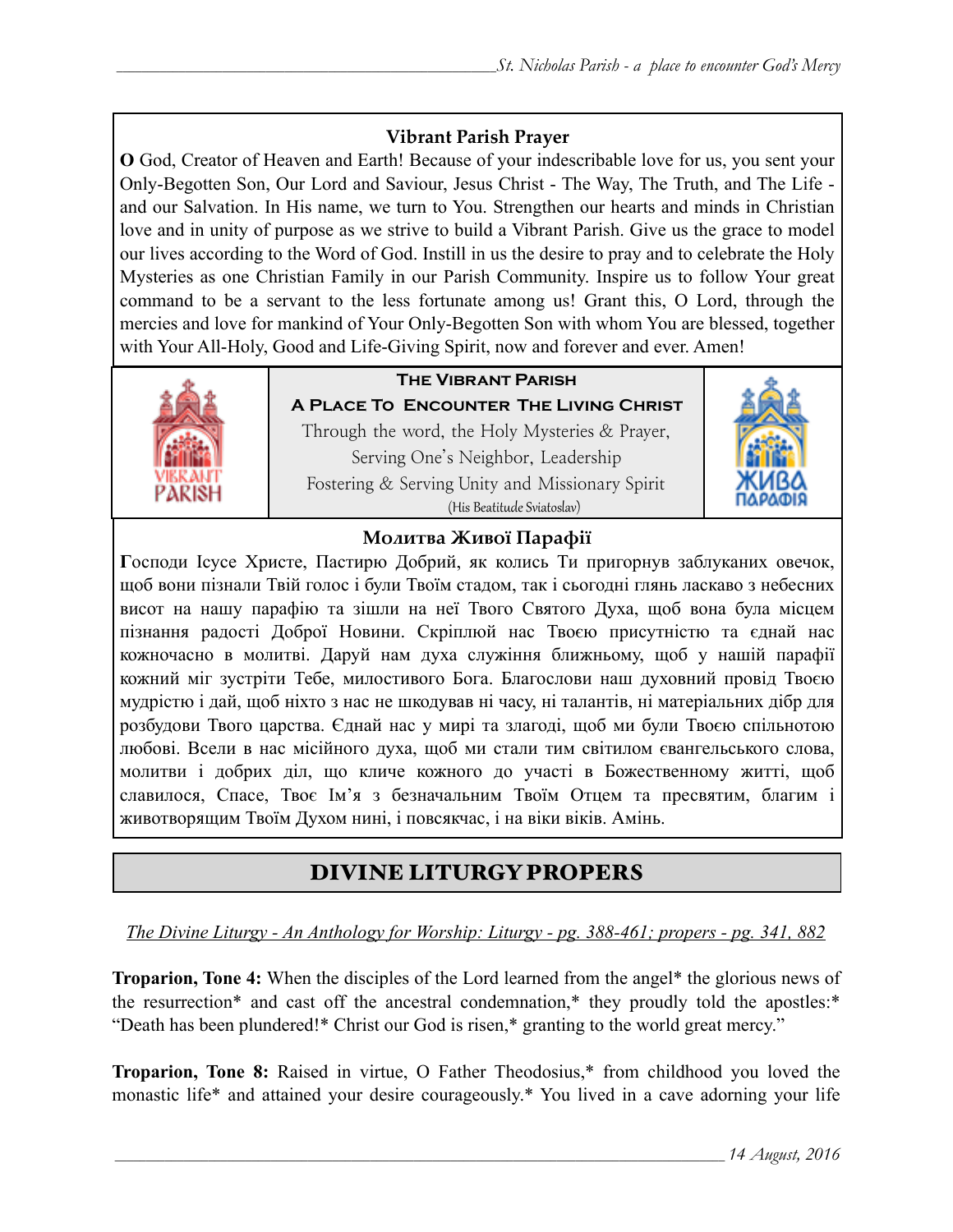## **Vibrant Parish Prayer**

**O** God, Creator of Heaven and Earth! Because of your indescribable love for us, you sent your Only-Begotten Son, Our Lord and Saviour, Jesus Christ - The Way, The Truth, and The Life and our Salvation. In His name, we turn to You. Strengthen our hearts and minds in Christian love and in unity of purpose as we strive to build a Vibrant Parish. Give us the grace to model our lives according to the Word of God. Instill in us the desire to pray and to celebrate the Holy Mysteries as one Christian Family in our Parish Community. Inspire us to follow Your great command to be a servant to the less fortunate among us! Grant this, O Lord, through the mercies and love for mankind of Your Only-Begotten Son with whom You are blessed, together with Your All-Holy, Good and Life-Giving Spirit, now and forever and ever. Amen!



# **The Vibrant Parish**

**A Place To Encounter The Living Christ** Through the word, the Holy Mysteries & Prayer, Serving One's Neighbor, Leadership Fostering & Serving Unity and Missionary Spirit (His Beatitude Sviatoslav)



### **Молитва Живої Парафії**

**Г**осподи Ісусе Христе, Пастирю Добрий, як колись Ти пригорнув заблуканих овечок, щоб вони пізнали Твій голос і були Твоїм стадом, так і сьогодні глянь ласкаво з небесних висот на нашу парафію та зішли на неї Твого Святого Духа, щоб вона була місцем пізнання радості Доброї Новини. Скріплюй нас Твоєю присутністю та єднай нас кожночасно в молитві. Даруй нам духа служіння ближньому, щоб у нашій парафії кожний міг зустріти Тебе, милостивого Бога. Благослови наш духовний провід Твоєю мудрістю і дай, щоб ніхто з нас не шкодував ні часу, ні талантів, ні матеріальних дібр для розбудови Твого царства. Єднай нас у мирі та злагоді, щоб ми були Твоєю спільнотою любові. Всели в нас місійного духа, щоб ми стали тим світилом євангельського слова, молитви і добрих діл, що кличе кожного до участі в Божественному житті, щоб славилося, Спасе, Твоє Ім'я з безначальним Твоїм Отцем та пресвятим, благим і животворящим Твоїм Духом нині, і повсякчас, і на віки віків. Амінь.

# DIVINE LITURGY PROPERS

*The Divine Liturgy - An Anthology for Worship: Liturgy - pg. 388-461; propers - pg. 341, 882* 

**Troparion, Tone 4:** When the disciples of the Lord learned from the angel\* the glorious news of the resurrection\* and cast off the ancestral condemnation,\* they proudly told the apostles:\* "Death has been plundered!\* Christ our God is risen,\* granting to the world great mercy."

**Troparion, Tone 8:** Raised in virtue, O Father Theodosius,\* from childhood you loved the monastic life\* and attained your desire courageously.\* You lived in a cave adorning your life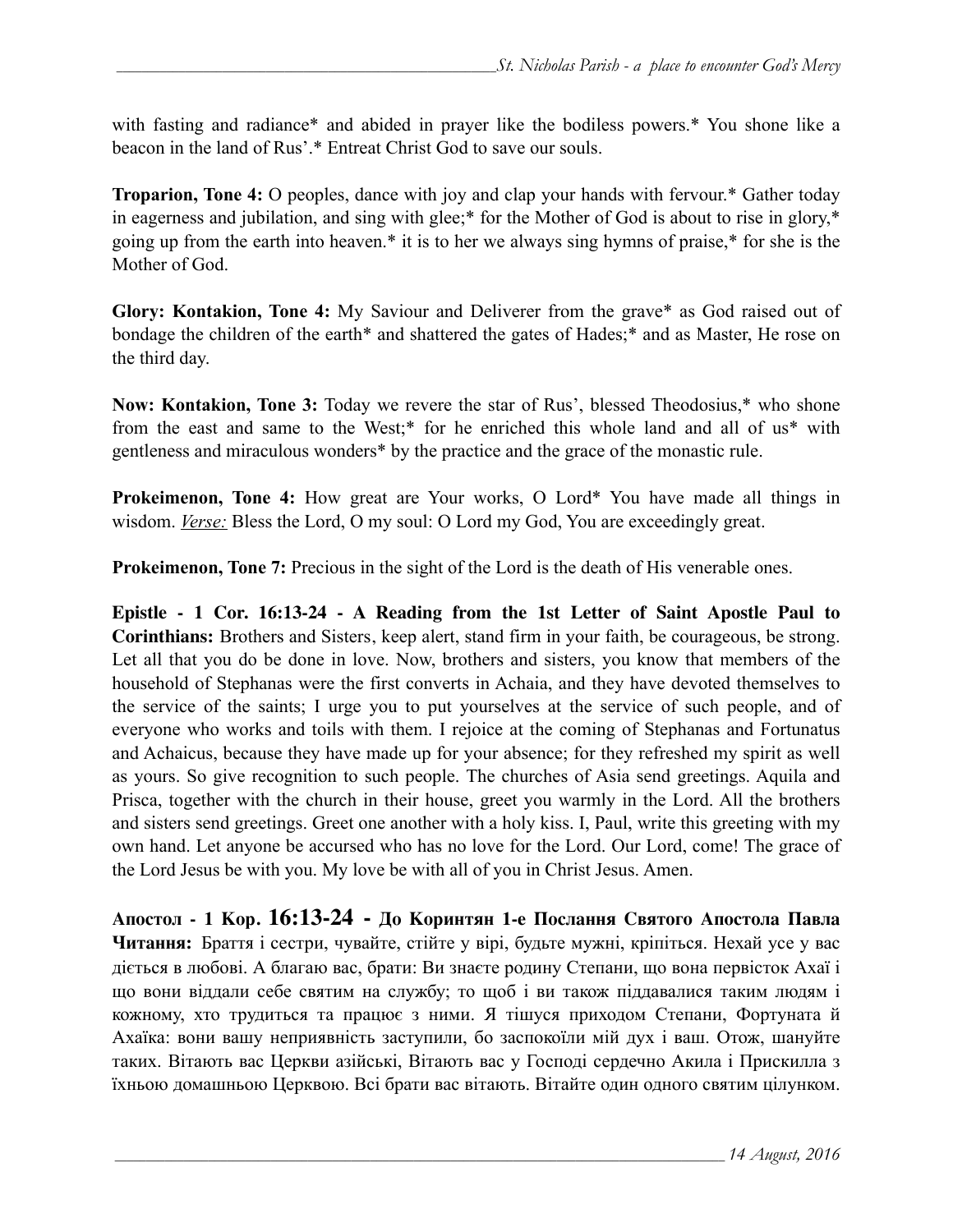with fasting and radiance\* and abided in prayer like the bodiless powers.\* You shone like a beacon in the land of Rus'.\* Entreat Christ God to save our souls.

**Troparion, Tone 4:** O peoples, dance with joy and clap your hands with fervour.\* Gather today in eagerness and jubilation, and sing with glee;\* for the Mother of God is about to rise in glory,\* going up from the earth into heaven.\* it is to her we always sing hymns of praise,\* for she is the Mother of God.

**Glory: Kontakion, Tone 4:** My Saviour and Deliverer from the grave\* as God raised out of bondage the children of the earth\* and shattered the gates of Hades;\* and as Master, He rose on the third day.

**Now: Kontakion, Tone 3:** Today we revere the star of Rus', blessed Theodosius,\* who shone from the east and same to the West;\* for he enriched this whole land and all of us\* with gentleness and miraculous wonders\* by the practice and the grace of the monastic rule.

**Prokeimenon, Tone 4:** How great are Your works, O Lord\* You have made all things in wisdom. *Verse:* Bless the Lord, O my soul: O Lord my God, You are exceedingly great.

**Prokeimenon, Tone 7:** Precious in the sight of the Lord is the death of His venerable ones.

**Epistle - 1 Cor. 16:13-24 - A Reading from the 1st Letter of Saint Apostle Paul to Corinthians:** Brothers and Sisters, keep alert, stand firm in your faith, be courageous, be strong. Let all that you do be done in love. Now, brothers and sisters, you know that members of the household of Stephanas were the first converts in Achaia, and they have devoted themselves to the service of the saints; I urge you to put yourselves at the service of such people, and of everyone who works and toils with them. I rejoice at the coming of Stephanas and Fortunatus and Achaicus, because they have made up for your absence; for they refreshed my spirit as well as yours. So give recognition to such people. The churches of Asia send greetings. Aquila and Prisca, together with the church in their house, greet you warmly in the Lord. All the brothers and sisters send greetings. Greet one another with a holy kiss. I, Paul, write this greeting with my own hand. Let anyone be accursed who has no love for the Lord. Our Lord, come! The grace of the Lord Jesus be with you. My love be with all of you in Christ Jesus. Amen.

**Апостол - 1 Кор. 16:13-24 - До Коринтян 1-e Послання Святого Апостола Павла Читання:** Браття і сестри, чувайте, стійте у вірі, будьте мужні, кріпіться. Нехай усе у вас діється в любові. А благаю вас, брати: Ви знаєте родину Степани, що вона первісток Ахаї і що вони віддали себе святим на службу; то щоб і ви також піддавалися таким людям і кожному, хто трудиться та працює з ними. Я тішуся приходом Степани, Фортуната й Ахаїка: вони вашу неприявність заступили, бо заспокоїли мій дух і ваш. Отож, шануйте таких. Вітають вас Церкви азійські, Вітають вас у Господі сердечно Акила і Прискилла з їхньою домашньою Церквою. Всі брати вас вітають. Вітайте один одного святим цілунком.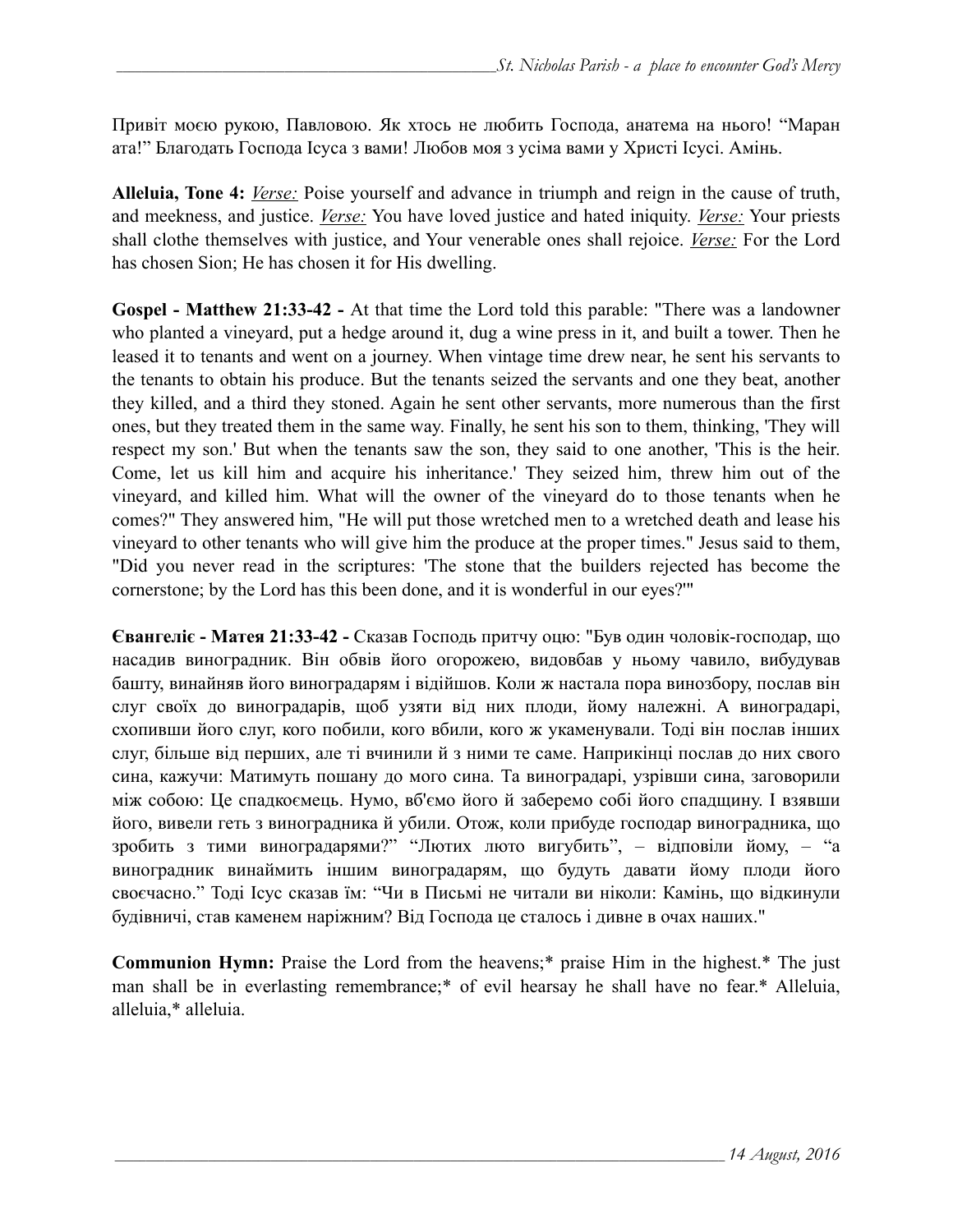Привіт моєю рукою, Павловою. Як хтось не любить Господа, анатема на нього! "Маран ата!" Благодать Господа Ісуса з вами! Любов моя з усіма вами у Христі Ісусі. Амінь.

**Alleluia, Tone 4:** *Verse:* Poise yourself and advance in triumph and reign in the cause of truth, and meekness, and justice. *Verse:* You have loved justice and hated iniquity. *Verse:* Your priests shall clothe themselves with justice, and Your venerable ones shall rejoice. *Verse:* For the Lord has chosen Sion; He has chosen it for His dwelling.

**Gospel - Matthew 21:33-42 -** At that time the Lord told this parable: "There was a landowner who planted a vineyard, put a hedge around it, dug a wine press in it, and built a tower. Then he leased it to tenants and went on a journey. When vintage time drew near, he sent his servants to the tenants to obtain his produce. But the tenants seized the servants and one they beat, another they killed, and a third they stoned. Again he sent other servants, more numerous than the first ones, but they treated them in the same way. Finally, he sent his son to them, thinking, 'They will respect my son.' But when the tenants saw the son, they said to one another, 'This is the heir. Come, let us kill him and acquire his inheritance.' They seized him, threw him out of the vineyard, and killed him. What will the owner of the vineyard do to those tenants when he comes?" They answered him, "He will put those wretched men to a wretched death and lease his vineyard to other tenants who will give him the produce at the proper times." Jesus said to them, "Did you never read in the scriptures: 'The stone that the builders rejected has become the cornerstone; by the Lord has this been done, and it is wonderful in our eyes?'"

**Євангеліє - Матея 21:33-42 -** Сказав Господь притчу оцю: "Був один чоловік-господар, що насадив виноградник. Він обвів його огорожею, видовбав у ньому чавило, вибудував башту, винайняв його виноградарям і відійшов. Коли ж настала пора винозбору, послав він слуг своїх до виноградарів, щоб узяти від них плоди, йому належні. А виноградарі, схопивши його слуг, кого побили, кого вбили, кого ж укаменували. Тоді він послав інших слуг, більше від перших, але ті вчинили й з ними те саме. Наприкінці послав до них свого сина, кажучи: Матимуть пошану до мого сина. Та виноградарі, узрівши сина, заговорили між собою: Це спадкоємець. Нумо, вб'ємо його й заберемо собі його спадщину. І взявши його, вивели геть з виноградника й убили. Отож, коли прибуде господар виноградника, що зробить з тими виноградарями?" "Лютих люто вигубить", – відповіли йому, – "а виноградник винаймить іншим виноградарям, що будуть давати йому плоди його своєчасно." Тоді Ісус сказав їм: "Чи в Письмі не читали ви ніколи: Камінь, що відкинули будівничі, став каменем наріжним? Від Господа це сталось і дивне в очах наших."

**Communion Hymn:** Praise the Lord from the heavens;\* praise Him in the highest.\* The just man shall be in everlasting remembrance;\* of evil hearsay he shall have no fear.\* Alleluia, alleluia,\* alleluia.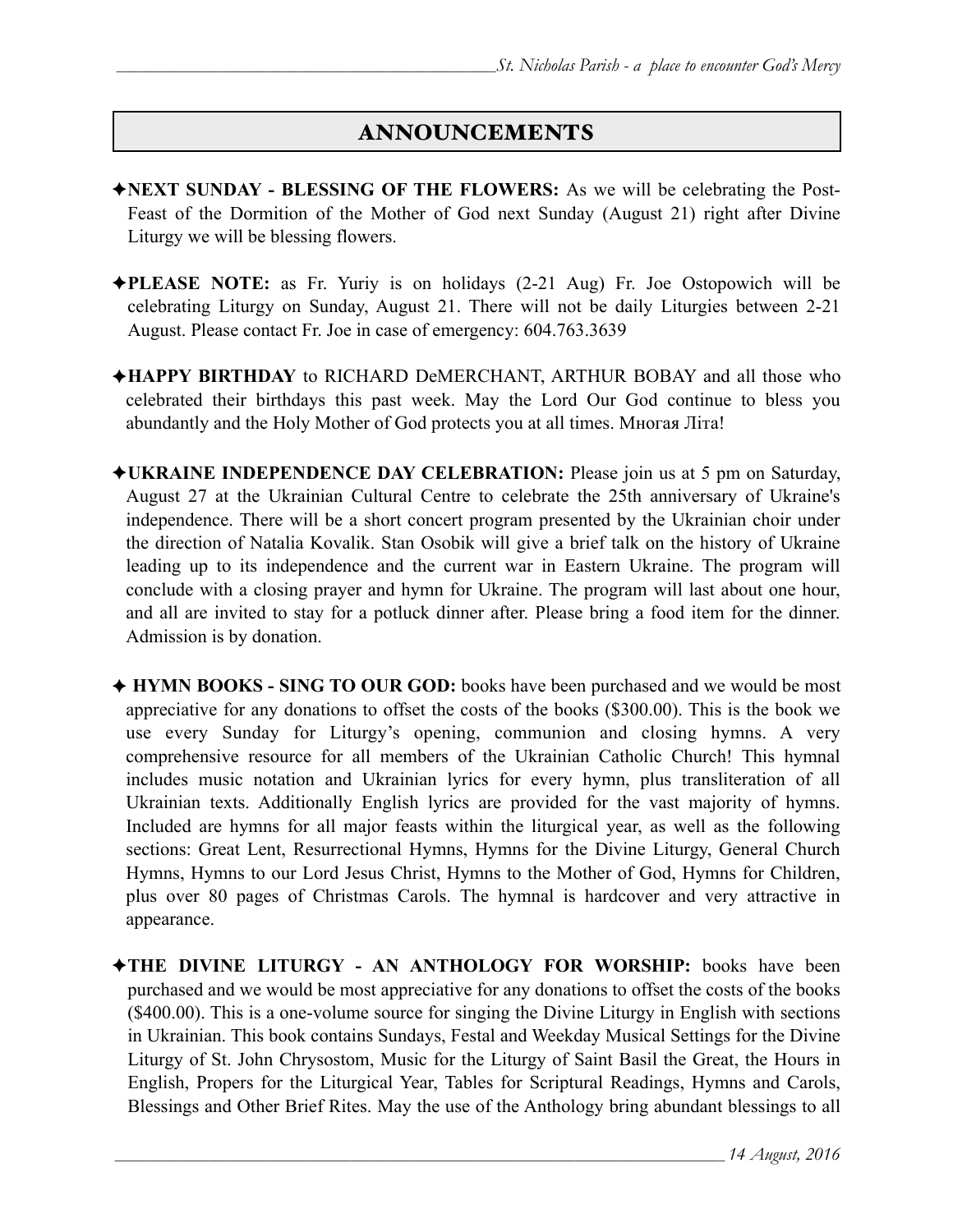## ANNOUNCEMENTS

- ✦**NEXT SUNDAY BLESSING OF THE FLOWERS:** As we will be celebrating the Post-Feast of the Dormition of the Mother of God next Sunday (August 21) right after Divine Liturgy we will be blessing flowers.
- ✦**PLEASE NOTE:** as Fr. Yuriy is on holidays (2-21 Aug) Fr. Joe Ostopowich will be celebrating Liturgy on Sunday, August 21. There will not be daily Liturgies between 2-21 August. Please contact Fr. Joe in case of emergency: 604.763.3639
- ✦**HAPPY BIRTHDAY** to RICHARD DeMERCHANT, ARTHUR BOBAY and all those who celebrated their birthdays this past week. May the Lord Our God continue to bless you abundantly and the Holy Mother of God protects you at all times. Многая Літа!
- ✦**UKRAINE INDEPENDENCE DAY CELEBRATION:** Please join us at 5 pm on Saturday, August 27 at the Ukrainian Cultural Centre to celebrate the 25th anniversary of Ukraine's independence. There will be a short concert program presented by the Ukrainian choir under the direction of Natalia Kovalik. Stan Osobik will give a brief talk on the history of Ukraine leading up to its independence and the current war in Eastern Ukraine. The program will conclude with a closing prayer and hymn for Ukraine. The program will last about one hour, and all are invited to stay for a potluck dinner after. Please bring a food item for the dinner. Admission is by donation.
- ✦ **HYMN BOOKS SING TO OUR GOD:** books have been purchased and we would be most appreciative for any donations to offset the costs of the books (\$300.00). This is the book we use every Sunday for Liturgy's opening, communion and closing hymns. A very comprehensive resource for all members of the Ukrainian Catholic Church! This hymnal includes music notation and Ukrainian lyrics for every hymn, plus transliteration of all Ukrainian texts. Additionally English lyrics are provided for the vast majority of hymns. Included are hymns for all major feasts within the liturgical year, as well as the following sections: Great Lent, Resurrectional Hymns, Hymns for the Divine Liturgy, General Church Hymns, Hymns to our Lord Jesus Christ, Hymns to the Mother of God, Hymns for Children, plus over 80 pages of Christmas Carols. The hymnal is hardcover and very attractive in appearance.
- ✦**THE DIVINE LITURGY AN ANTHOLOGY FOR WORSHIP:** books have been purchased and we would be most appreciative for any donations to offset the costs of the books (\$400.00). This is a one-volume source for singing the Divine Liturgy in English with sections in Ukrainian. This book contains Sundays, Festal and Weekday Musical Settings for the Divine Liturgy of St. John Chrysostom, Music for the Liturgy of Saint Basil the Great, the Hours in English, Propers for the Liturgical Year, Tables for Scriptural Readings, Hymns and Carols, Blessings and Other Brief Rites. May the use of the Anthology bring abundant blessings to all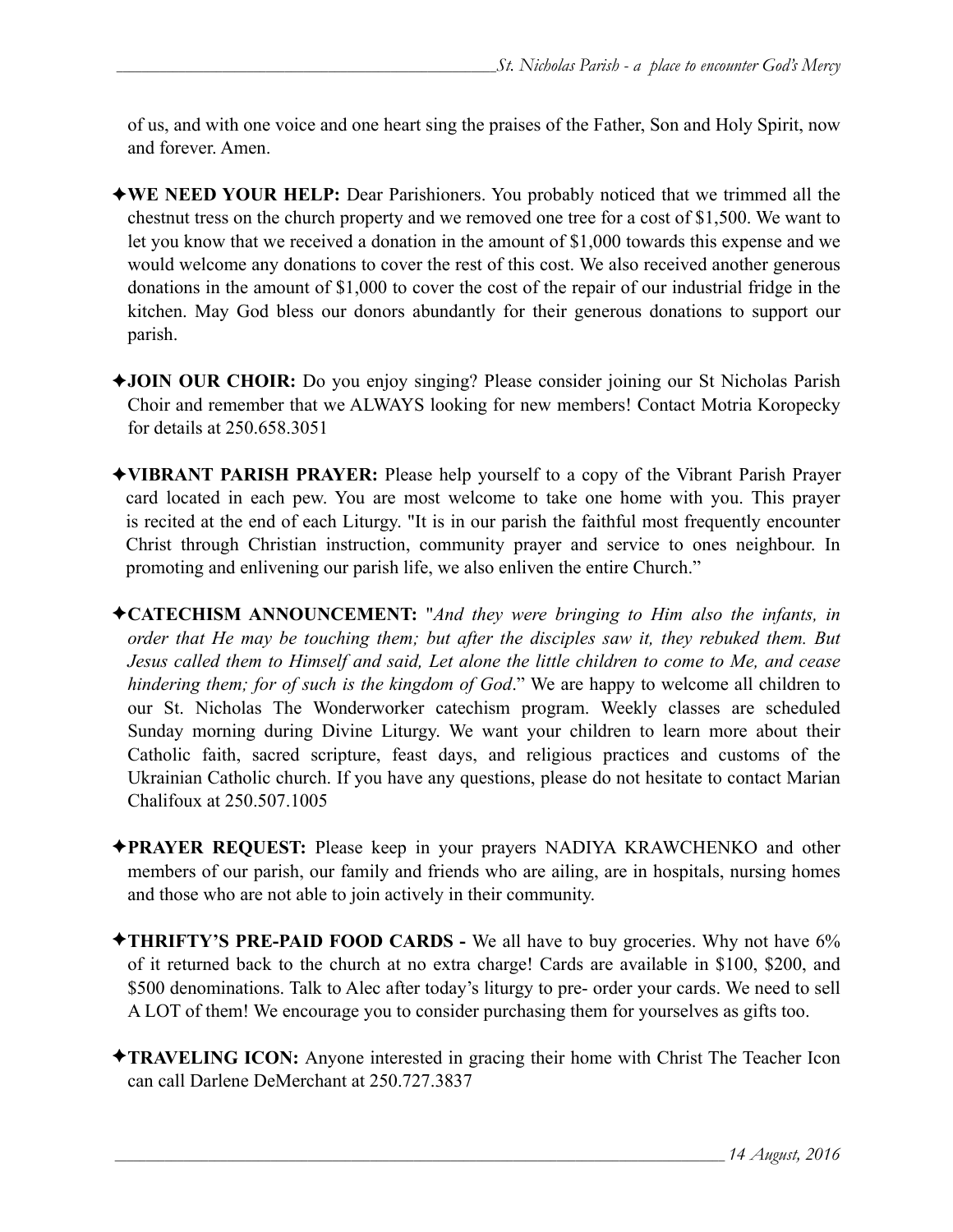of us, and with one voice and one heart sing the praises of the Father, Son and Holy Spirit, now and forever. Amen.

- ✦**WE NEED YOUR HELP:** Dear Parishioners. You probably noticed that we trimmed all the chestnut tress on the church property and we removed one tree for a cost of \$1,500. We want to let you know that we received a donation in the amount of \$1,000 towards this expense and we would welcome any donations to cover the rest of this cost. We also received another generous donations in the amount of \$1,000 to cover the cost of the repair of our industrial fridge in the kitchen. May God bless our donors abundantly for their generous donations to support our parish.
- ✦**JOIN OUR CHOIR:** Do you enjoy singing? Please consider joining our St Nicholas Parish Choir and remember that we ALWAYS looking for new members! Contact Motria Koropecky for details at 250.658.3051
- ✦**VIBRANT PARISH PRAYER:** Please help yourself to a copy of the Vibrant Parish Prayer card located in each pew. You are most welcome to take one home with you. This prayer is recited at the end of each Liturgy. "It is in our parish the faithful most frequently encounter Christ through Christian instruction, community prayer and service to ones neighbour. In promoting and enlivening our parish life, we also enliven the entire Church."
- ✦**CATECHISM ANNOUNCEMENT:** "*And they were bringing to Him also the infants, in order that He may be touching them; but after the disciples saw it, they rebuked them. But Jesus called them to Himself and said, Let alone the little children to come to Me, and cease hindering them; for of such is the kingdom of God*." We are happy to welcome all children to our St. Nicholas The Wonderworker catechism program. Weekly classes are scheduled Sunday morning during Divine Liturgy. We want your children to learn more about their Catholic faith, sacred scripture, feast days, and religious practices and customs of the Ukrainian Catholic church. If you have any questions, please do not hesitate to contact Marian Chalifoux at 250.507.1005
- ✦**PRAYER REQUEST:** Please keep in your prayers NADIYA KRAWCHENKO and other members of our parish, our family and friends who are ailing, are in hospitals, nursing homes and those who are not able to join actively in their community.
- ✦**THRIFTY'S PRE-PAID FOOD CARDS** We all have to buy groceries. Why not have 6% of it returned back to the church at no extra charge! Cards are available in \$100, \$200, and \$500 denominations. Talk to Alec after today's liturgy to pre- order your cards. We need to sell A LOT of them! We encourage you to consider purchasing them for yourselves as gifts too.
- ✦**TRAVELING ICON:** Anyone interested in gracing their home with Christ The Teacher Icon can call Darlene DeMerchant at 250.727.3837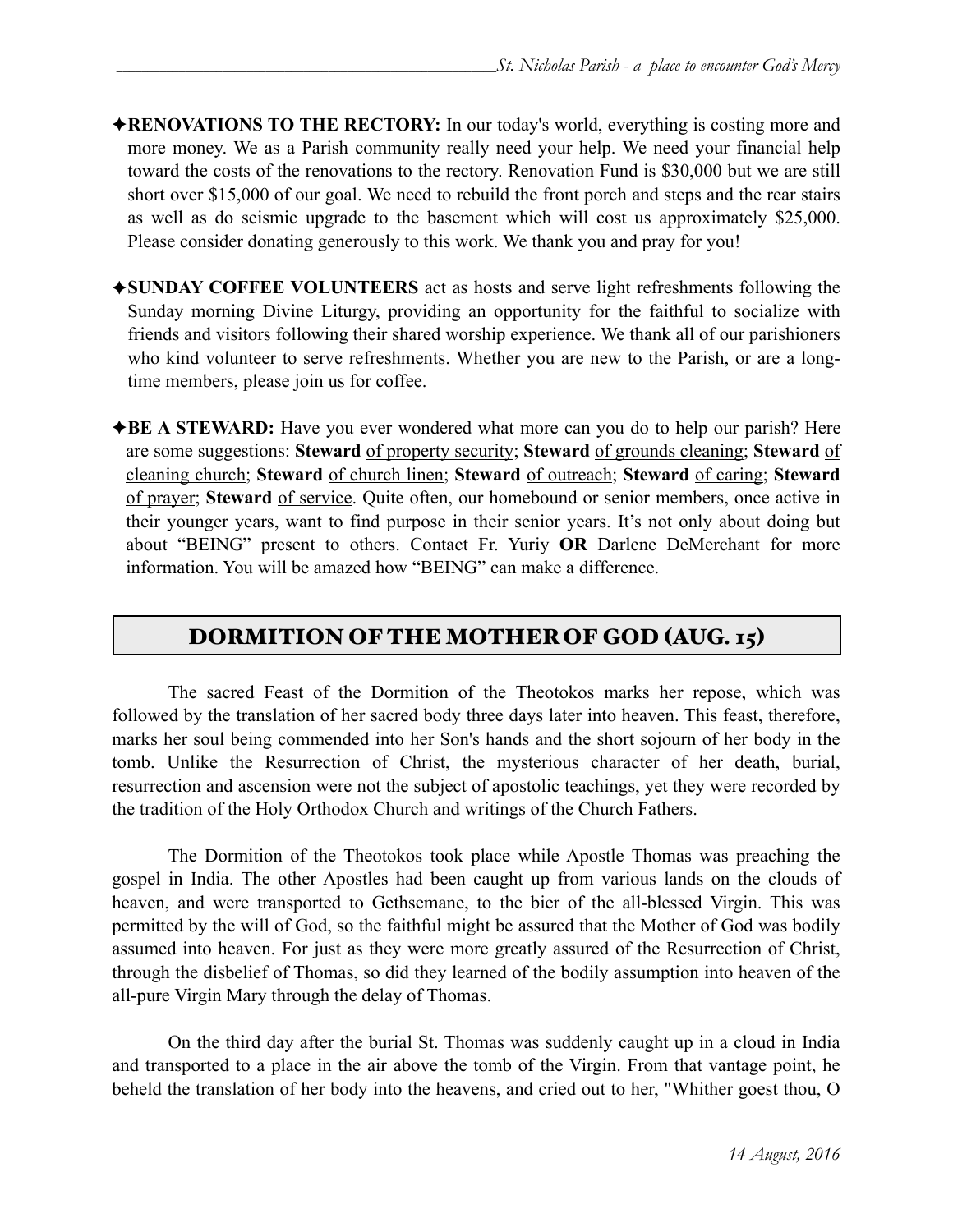- ✦**RENOVATIONS TO THE RECTORY:** In our today's world, everything is costing more and more money. We as a Parish community really need your help. We need your financial help toward the costs of the renovations to the rectory. Renovation Fund is \$30,000 but we are still short over \$15,000 of our goal. We need to rebuild the front porch and steps and the rear stairs as well as do seismic upgrade to the basement which will cost us approximately \$25,000. Please consider donating generously to this work. We thank you and pray for you!
- ✦**SUNDAY COFFEE VOLUNTEERS** act as hosts and serve light refreshments following the Sunday morning Divine Liturgy, providing an opportunity for the faithful to socialize with friends and visitors following their shared worship experience. We thank all of our parishioners who kind volunteer to serve refreshments. Whether you are new to the Parish, or are a longtime members, please join us for coffee.
- ◆**BE A STEWARD:** Have you ever wondered what more can you do to help our parish? Here are some suggestions: **Steward** of property security; **Steward** of grounds cleaning; **Steward** of cleaning church; **Steward** of church linen; **Steward** of outreach; **Steward** of caring; **Steward** of prayer; **Steward** of service. Quite often, our homebound or senior members, once active in their younger years, want to find purpose in their senior years. It's not only about doing but about "BEING" present to others. Contact Fr. Yuriy **OR** Darlene DeMerchant for more information. You will be amazed how "BEING" can make a difference.

# DORMITION OF THE MOTHER OF GOD (AUG. 15)

 The sacred Feast of the Dormition of the Theotokos marks her repose, which was followed by the translation of her sacred body three days later into heaven. This feast, therefore, marks her soul being commended into her Son's hands and the short sojourn of her body in the tomb. Unlike the Resurrection of Christ, the mysterious character of her death, burial, resurrection and ascension were not the subject of apostolic teachings, yet they were recorded by the tradition of the Holy Orthodox Church and writings of the Church Fathers.

 The Dormition of the Theotokos took place while Apostle Thomas was preaching the gospel in India. The other Apostles had been caught up from various lands on the clouds of heaven, and were transported to Gethsemane, to the bier of the all-blessed Virgin. This was permitted by the will of God, so the faithful might be assured that the Mother of God was bodily assumed into heaven. For just as they were more greatly assured of the Resurrection of Christ, through the disbelief of Thomas, so did they learned of the bodily assumption into heaven of the all-pure Virgin Mary through the delay of Thomas.

 On the third day after the burial St. Thomas was suddenly caught up in a cloud in India and transported to a place in the air above the tomb of the Virgin. From that vantage point, he beheld the translation of her body into the heavens, and cried out to her, "Whither goest thou, O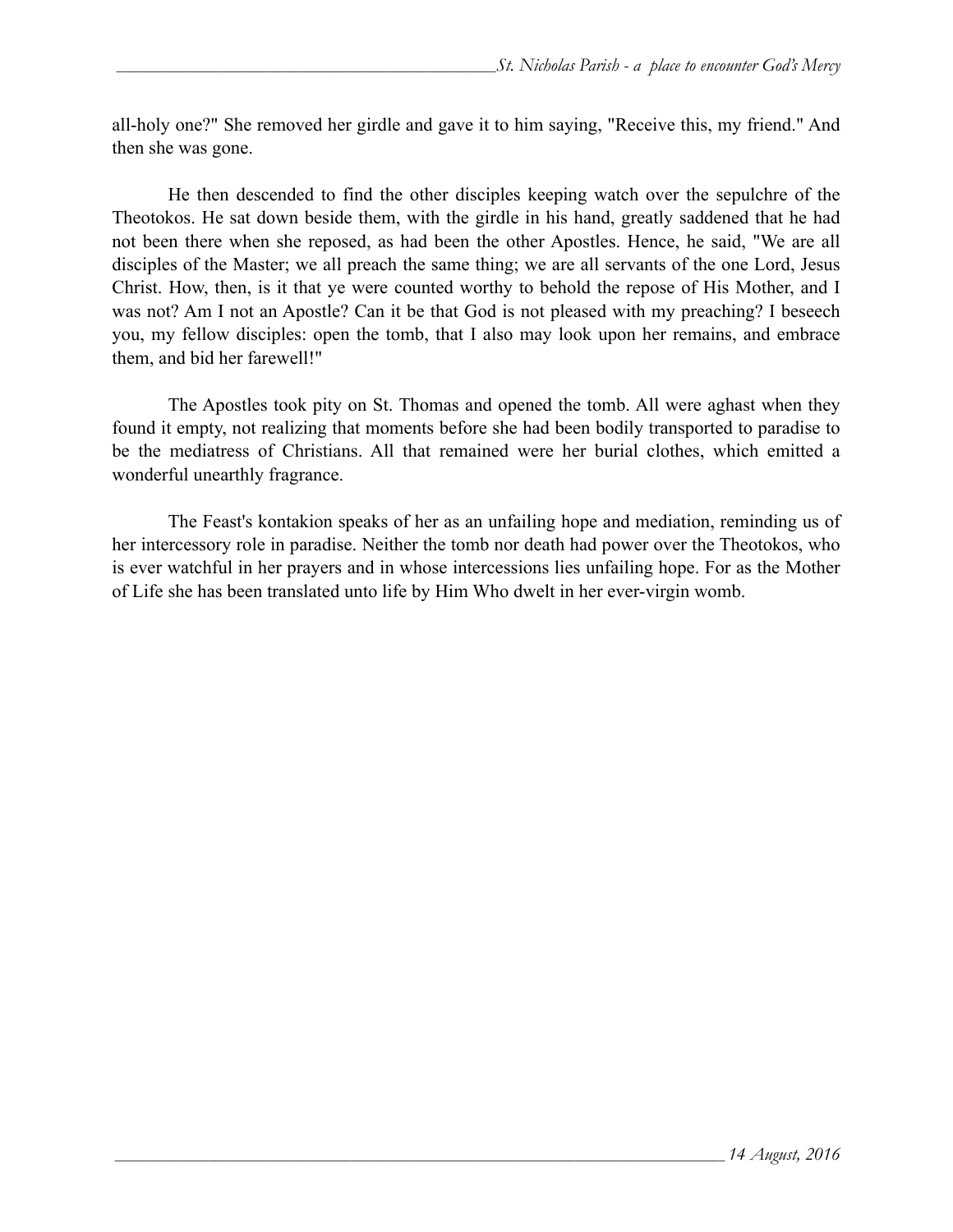all-holy one?" She removed her girdle and gave it to him saying, "Receive this, my friend." And then she was gone.

 He then descended to find the other disciples keeping watch over the sepulchre of the Theotokos. He sat down beside them, with the girdle in his hand, greatly saddened that he had not been there when she reposed, as had been the other Apostles. Hence, he said, "We are all disciples of the Master; we all preach the same thing; we are all servants of the one Lord, Jesus Christ. How, then, is it that ye were counted worthy to behold the repose of His Mother, and I was not? Am I not an Apostle? Can it be that God is not pleased with my preaching? I beseech you, my fellow disciples: open the tomb, that I also may look upon her remains, and embrace them, and bid her farewell!"

 The Apostles took pity on St. Thomas and opened the tomb. All were aghast when they found it empty, not realizing that moments before she had been bodily transported to paradise to be the mediatress of Christians. All that remained were her burial clothes, which emitted a wonderful unearthly fragrance.

The Feast's kontakion speaks of her as an unfailing hope and mediation, reminding us of her intercessory role in paradise. Neither the tomb nor death had power over the Theotokos, who is ever watchful in her prayers and in whose intercessions lies unfailing hope. For as the Mother of Life she has been translated unto life by Him Who dwelt in her ever-virgin womb.